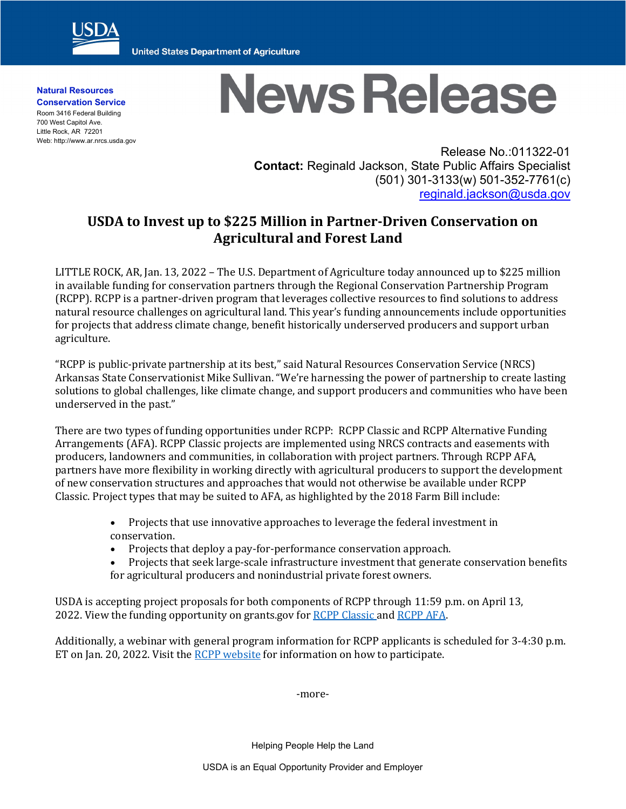

**United States Department of Agriculture** 

**Natural Resources Conservation Service** Room 3416 Federal Building 700 West Capitol Ave. Little Rock, AR 72201 Web: http://www.ar.nrcs.usda.gov

## **News Release**

Release No.:011322-01 **Contact:** Reginald Jackson, State Public Affairs Specialist (501) 301-3133(w) 501-352-7761(c) [reginald.jackson@usda.gov](mailto:reginald.jackson@usda.gov)

## **USDA to Invest up to \$225 Million in Partner-Driven Conservation on Agricultural and Forest Land**

LITTLE ROCK, AR, Jan. 13, 2022 – The U.S. Department of Agriculture today announced up to \$225 million in available funding for conservation partners through the Regional Conservation Partnership Program (RCPP). RCPP is a partner-driven program that leverages collective resources to find solutions to address natural resource challenges on agricultural land. This year's funding announcements include opportunities for projects that address climate change, benefit historically underserved producers and support urban agriculture.

"RCPP is public-private partnership at its best," said Natural Resources Conservation Service (NRCS) Arkansas State Conservationist Mike Sullivan. "We're harnessing the power of partnership to create lasting solutions to global challenges, like climate change, and support producers and communities who have been underserved in the past."

There are two types of funding opportunities under RCPP: RCPP Classic and RCPP Alternative Funding Arrangements (AFA). RCPP Classic projects are implemented using NRCS contracts and easements with producers, landowners and communities, in collaboration with project partners. Through RCPP AFA, partners have more flexibility in working directly with agricultural producers to support the development of new conservation structures and approaches that would not otherwise be available under RCPP Classic. Project types that may be suited to AFA, as highlighted by the 2018 Farm Bill include:

- Projects that use innovative approaches to leverage the federal investment in conservation.
- Projects that deploy a pay-for-performance conservation approach.
- Projects that seek large-scale infrastructure investment that generate conservation benefits for agricultural producers and nonindustrial private forest owners.

USDA is accepting project proposals for both components of RCPP through 11:59 p.m. on April 13, 2022. View the funding opportunity on grants.gov for [RCPP Classic](https://gcc02.safelinks.protection.outlook.com/?url=https%3A%2F%2Fwww.grants.gov%2Fweb%2Fgrants%2Fview-opportunity.html%3FoppId%3D337340&data=04%7C01%7C%7C2ce0641822184a1e37f008d9d6953859%7Ced5b36e701ee4ebc867ee03cfa0d4697%7C0%7C0%7C637776758646257505%7CUnknown%7CTWFpbGZsb3d8eyJWIjoiMC4wLjAwMDAiLCJQIjoiV2luMzIiLCJBTiI6Ik1haWwiLCJXVCI6Mn0%3D%7C3000&sdata=2Suq%2BPkoybeJxmPjxOnbEAjN%2Bccm4iYSskSRyd%2Fj3jQ%3D&reserved=0) and [RCPP AFA.](https://gcc02.safelinks.protection.outlook.com/?url=https%3A%2F%2Fwww.grants.gov%2Fweb%2Fgrants%2Fview-opportunity.html%3FoppId%3D337341&data=04%7C01%7C%7C2ce0641822184a1e37f008d9d6953859%7Ced5b36e701ee4ebc867ee03cfa0d4697%7C0%7C0%7C637776758646257505%7CUnknown%7CTWFpbGZsb3d8eyJWIjoiMC4wLjAwMDAiLCJQIjoiV2luMzIiLCJBTiI6Ik1haWwiLCJXVCI6Mn0%3D%7C3000&sdata=BbfwP7DGo8on7%2B1%2FN6K2zL%2BkgJNNMijCOc7nON7pnfM%3D&reserved=0)

Additionally, a webinar with general program information for RCPP applicants is scheduled for 3-4:30 p.m. ET on Jan. 20, 2022. Visit the [RCPP website](https://gcc02.safelinks.protection.outlook.com/?url=https%3A%2F%2Fwww.nrcs.usda.gov%2Fwps%2Fportal%2Fnrcs%2Fmain%2Fnational%2Fprograms%2Ffinancial%2Frcpp%2F&data=04%7C01%7C%7C58751f9ace894c2dd61f08d9d5ebc94a%7Ced5b36e701ee4ebc867ee03cfa0d4697%7C0%7C0%7C637776030934042521%7CUnknown%7CTWFpbGZsb3d8eyJWIjoiMC4wLjAwMDAiLCJQIjoiV2luMzIiLCJBTiI6Ik1haWwiLCJXVCI6Mn0%3D%7C3000&sdata=41MGWH4pdVV6eTlQW8FR4Uxv8%2FBEy5jaMiqJW19%2Bso4%3D&reserved=0) for information on how to participate.

-more-

Helping People Help the Land